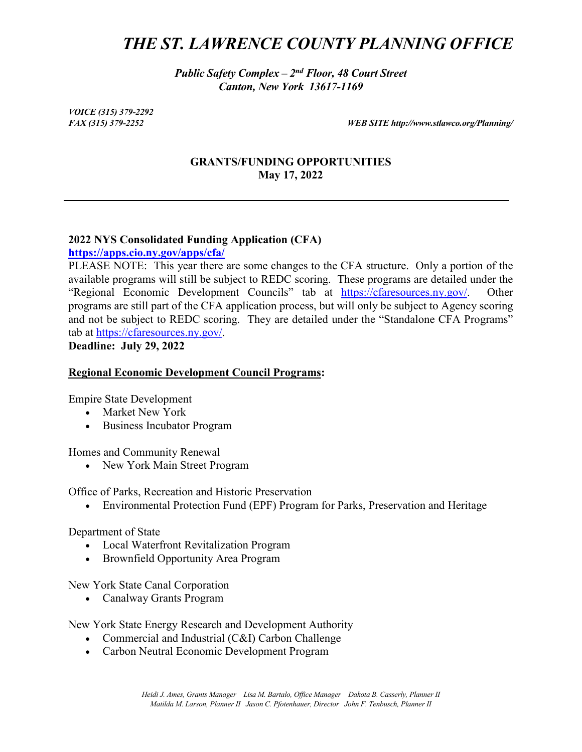# *THE ST. LAWRENCE COUNTY PLANNING OFFICE*

*Public Safety Complex – 2nd Floor, 48 Court Street Canton, New York 13617-1169*

*VOICE (315) 379-2292*

*FAX (315) 379-2252 WEB SITE http://www.stlawco.org/Planning/*

# **GRANTS/FUNDING OPPORTUNITIES May 17, 2022**

#### **2022 NYS Consolidated Funding Application (CFA)**

**<https://apps.cio.ny.gov/apps/cfa/>**

PLEASE NOTE: This year there are some changes to the CFA structure. Only a portion of the available programs will still be subject to REDC scoring. These programs are detailed under the "Regional Economic Development Councils" tab at [https://cfaresources.ny.gov/.](https://cfaresources.ny.gov/) Other programs are still part of the CFA application process, but will only be subject to Agency scoring and not be subject to REDC scoring. They are detailed under the "Standalone CFA Programs" tab at [https://cfaresources.ny.gov/.](https://cfaresources.ny.gov/)

**Deadline: July 29, 2022**

#### **Regional Economic Development Council Programs:**

Empire State Development

- Market New York
- Business Incubator Program

Homes and Community Renewal

• New York Main Street Program

Office of Parks, Recreation and Historic Preservation

• Environmental Protection Fund (EPF) Program for Parks, Preservation and Heritage

Department of State

- Local Waterfront Revitalization Program
- Brownfield Opportunity Area Program

New York State Canal Corporation

• Canalway Grants Program

New York State Energy Research and Development Authority

- Commercial and Industrial (C&I) Carbon Challenge
- Carbon Neutral Economic Development Program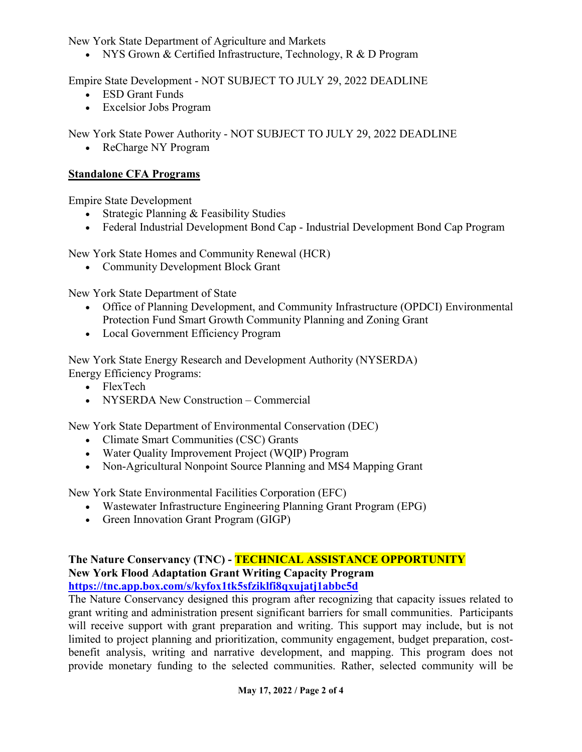New York State Department of Agriculture and Markets

• NYS Grown & Certified Infrastructure, Technology, R & D Program

Empire State Development - NOT SUBJECT TO JULY 29, 2022 DEADLINE

- ESD Grant Funds
- Excelsior Jobs Program

New York State Power Authority - NOT SUBJECT TO JULY 29, 2022 DEADLINE

• ReCharge NY Program

# **Standalone CFA Programs**

Empire State Development

- Strategic Planning & Feasibility Studies
- Federal Industrial Development Bond Cap Industrial Development Bond Cap Program

New York State Homes and Community Renewal (HCR)

• Community Development Block Grant

New York State Department of State

- Office of Planning Development, and Community Infrastructure (OPDCI) Environmental Protection Fund Smart Growth Community Planning and Zoning Grant
- Local Government Efficiency Program

New York State Energy Research and Development Authority (NYSERDA) Energy Efficiency Programs:

- FlexTech
- NYSERDA New Construction Commercial

New York State Department of Environmental Conservation (DEC)

- Climate Smart Communities (CSC) Grants
- Water Quality Improvement Project (WQIP) Program
- Non-Agricultural Nonpoint Source Planning and MS4 Mapping Grant

New York State Environmental Facilities Corporation (EFC)

- Wastewater Infrastructure Engineering Planning Grant Program (EPG)
- Green Innovation Grant Program (GIGP)

#### **The Nature Conservancy (TNC) - TECHNICAL ASSISTANCE OPPORTUNITY New York Flood Adaptation Grant Writing Capacity Program <https://tnc.app.box.com/s/kyfox1tk5sfziklfi8qxujatj1abbc5d>**

The Nature Conservancy designed this program after recognizing that capacity issues related to grant writing and administration present significant barriers for small communities. Participants will receive support with grant preparation and writing. This support may include, but is not limited to project planning and prioritization, community engagement, budget preparation, costbenefit analysis, writing and narrative development, and mapping. This program does not provide monetary funding to the selected communities. Rather, selected community will be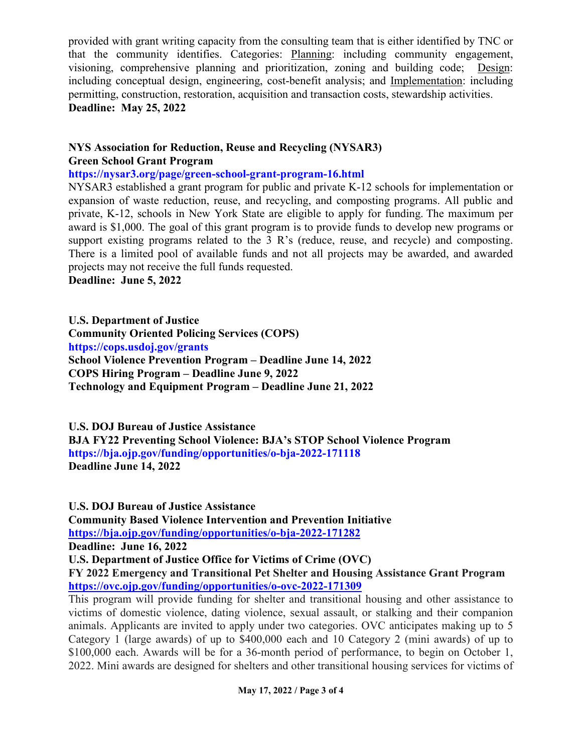provided with grant writing capacity from the consulting team that is either identified by TNC or that the community identifies. Categories: Planning: including community engagement, visioning, comprehensive planning and prioritization, zoning and building code; Design: including conceptual design, engineering, cost-benefit analysis; and Implementation: including permitting, construction, restoration, acquisition and transaction costs, stewardship activities. **Deadline: May 25, 2022** 

# **NYS Association for Reduction, Reuse and Recycling (NYSAR3) Green School Grant Program**

### **https://nysar3.org/page/green-school-grant-program-16.html**

NYSAR3 established a grant program for public and private K-12 schools for implementation or expansion of waste reduction, reuse, and recycling, and composting programs. All public and private, K-12, schools in New York State are eligible to apply for funding. The maximum per award is \$1,000. The goal of this grant program is to provide funds to develop new programs or support existing programs related to the 3 R's (reduce, reuse, and recycle) and composting. There is a limited pool of available funds and not all projects may be awarded, and awarded projects may not receive the full funds requested.

**Deadline: June 5, 2022**

**U.S. Department of Justice** 

**Community Oriented Policing Services (COPS) https://cops.usdoj.gov/grants School Violence Prevention Program – Deadline June 14, 2022 COPS Hiring Program – Deadline June 9, 2022 Technology and Equipment Program – Deadline June 21, 2022** 

**U.S. DOJ Bureau of Justice Assistance** 

**BJA FY22 Preventing School Violence: BJA's STOP School Violence Program https://bja.ojp.gov/funding/opportunities/o-bja-2022-171118 Deadline June 14, 2022** 

**U.S. DOJ Bureau of Justice Assistance** 

**Community Based Violence Intervention and Prevention Initiative <https://bja.ojp.gov/funding/opportunities/o-bja-2022-171282>**

**Deadline: June 16, 2022** 

**U.S. Department of Justice Office for Victims of Crime (OVC)**

**FY 2022 Emergency and Transitional Pet Shelter and Housing Assistance Grant Program <https://ovc.ojp.gov/funding/opportunities/o-ovc-2022-171309>**

This program will provide funding for shelter and transitional housing and other assistance to victims of domestic violence, dating violence, sexual assault, or stalking and their companion animals. Applicants are invited to apply under two categories. OVC anticipates making up to 5 Category 1 (large awards) of up to \$400,000 each and 10 Category 2 (mini awards) of up to \$100,000 each. Awards will be for a 36-month period of performance, to begin on October 1, 2022. Mini awards are designed for shelters and other transitional housing services for victims of